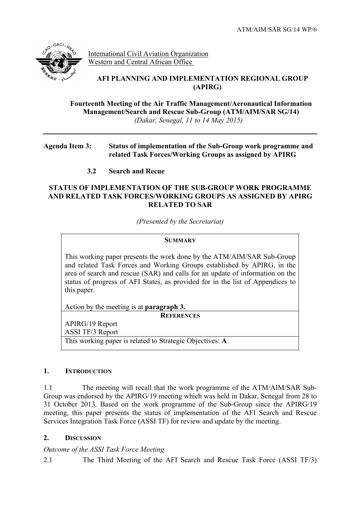

International Civil Aviation Organization Western and Central African Office

## **AFI PLANNING AND IMPLEMENTATION REGIONAL GROUP (APIRG)**

**Fourteenth Meeting of the Air Traffic Management/Aeronautical Information Management/Search and Rescue Sub-Group (ATM/AIM/SAR SG/14)** *(Dakar, Senegal, 11 to 14 May 2015)*

### **Agenda Item 3: Status of implementation of the Sub-Group work programme and related Task Forces/Working Groups as assigned by APIRG**

# **3.2 Search and Recue**

### **STATUS OF IMPLEMENTATION OF THE SUB-GROUP WORK PROGRAMME AND RELATED TASK FORCES/WORKING GROUPS AS ASSIGNED BY APIRG RELATED TO SAR**

*(Presented by the Secretariat)*

#### **SUMMARY**

This working paper presents the work done by the ATM/AIM/SAR Sub-Group and related Task Forces and Working Groups established by APIRG, in the area of search and rescue (SAR) and calls for an update of information on the status of progress of AFI States, as provided for in the list of Appendices to this paper.

Action by the meeting is at **paragraph 3.**

**REFERENCES**

APIRG/19 Report ASSI TF/3 Report This working paper is related to Strategic Objectives: **A**

#### **1. INTRODUCTION**

1.1 The meeting will recall that the work programme of the ATM/AIM/SAR Sub-Group was endorsed by the APIRG/19 meeting which was held in Dakar, Senegal from 28 to 31 October 2013. Based on the work programme of the Sub-Group since the APIRG/19 meeting, this paper presents the status of implementation of the AFI Search and Rescue Services Integration Task Force (ASSI TF) for review and update by the meeting.

## **2. DISCUSSION**

## *Outcome of the ASSI Task Force Meeting*

2.1 The Third Meeting of the AFI Search and Rescue Task Force (ASSI TF/3)